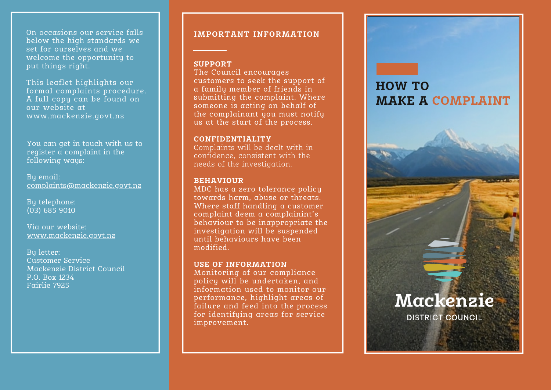On occasions our service falls below the high standards we set for ourselves and we welcome the opportunity to put things right.

This leaflet highlights our formal complaints procedure. A full copy can be found on our website at www.mackenzie.govt.nz

You can get in touch with us to register a complaint in the following ways:

By email: <u>complaints@mackenzie.govt.nz</u>

By telephone: (03) 685 9010

Via our website: <u>www.mackenzie.govt.nz</u>

By letter: Customer Service Mackenzie District Council P.O. B o x 1 2 3 4 Fairlie 7925

# IMPORTANT INFORMATION

## **S U P P O R T**

The Council encourages customers to seek the support of a family member of friends in submitting the complaint. Where someone is acting on behalf of the complainant you must notify us at the start of the process.

### **CONFIDENTIALITY**

Complaints will be dealt with in confidence, consistent with the needs of the investigation.

## **BEHAVIOUR**

MDC has a zero tolerance policy towards harm, abuse or threats. Where staff handling a customer complaint deem a complainint's behaviour to be inappropriate th e investigation will be suspended until behaviours have been modified. be the support<br>
the complaint. Where<br>
the complaint. Where<br>
teting on behalf of<br>
nant you must notify<br>
rt of the process.<br> **IALITY**<br>
ill be dealt with in<br>
onsistent with the<br>
investigation.<br>
ero tolerance policy<br>
m, abuse

#### USE OF INFORMATION

Monitoring of our compliance policy will be undertaken, and information used to monitor our performance, highlight areas of failure and feed into the process for identifying areas for service improvemen

# **O W T O MAKE A COMPLAINT**